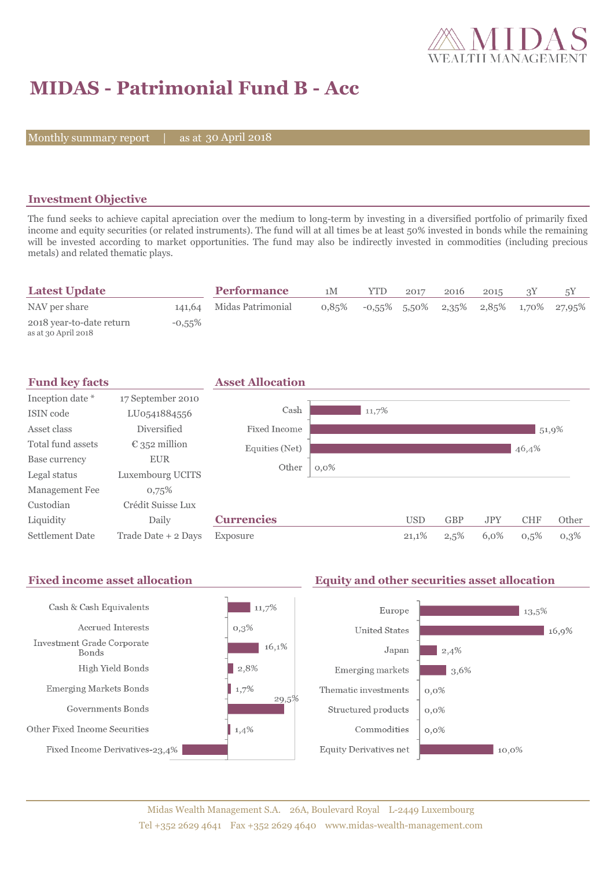

# **MIDAS - Patrimonial Fund B - Acc**

Monthly summary report | as at 30 April 2018

### **Investment Objective**

The fund seeks to achieve capital apreciation over the medium to long-term by investing in a diversified portfolio of primarily fixed income and equity securities (or related instruments). The fund will at all times be at least 50% invested in bonds while the remaining will be invested according to market opportunities. The fund may also be indirectly invested in commodities (including precious metals) and related thematic plays.

| <b>Latest Update</b>                            |           | <b>Performance</b>       | 1M    | <b>YTD</b> | 2017 | 2016 | 2015 |                                          |
|-------------------------------------------------|-----------|--------------------------|-------|------------|------|------|------|------------------------------------------|
| NAV per share                                   |           | 141,64 Midas Patrimonial | 0.85% |            |      |      |      | $-0.55\%$ 5.50% 2.35% 2.85% 1.70% 27.95% |
| 2018 year-to-date return<br>as at 30 April 2018 | $-0,55\%$ |                          |       |            |      |      |      |                                          |

| <b>Fund key facts</b>  |                        | <b>Asset Allocation</b> |         |       |            |            |            |            |       |
|------------------------|------------------------|-------------------------|---------|-------|------------|------------|------------|------------|-------|
| Inception date *       | 17 September 2010      |                         |         |       |            |            |            |            |       |
| ISIN code              | LU0541884556           | Cash                    |         | 11,7% |            |            |            |            |       |
| Asset class            | Diversified            | Fixed Income            |         |       |            |            |            | 51,9%      |       |
| Total fund assets      | $\epsilon$ 352 million | Equities (Net)          |         |       |            |            |            | 46,4%      |       |
| Base currency          | <b>EUR</b>             | Other                   | $0,0\%$ |       |            |            |            |            |       |
| Legal status           | Luxembourg UCITS       |                         |         |       |            |            |            |            |       |
| Management Fee         | 0.75%                  |                         |         |       |            |            |            |            |       |
| Custodian              | Crédit Suisse Lux      |                         |         |       |            |            |            |            |       |
| Liquidity              | Daily                  | <b>Currencies</b>       |         |       | <b>USD</b> | <b>GBP</b> | <b>JPY</b> | <b>CHF</b> | Other |
| <b>Settlement Date</b> | Trade Date + 2 Days    | Exposure                |         |       | 21,1%      | 2,5%       | 6,0%       | 0,5%       | 0,3%  |

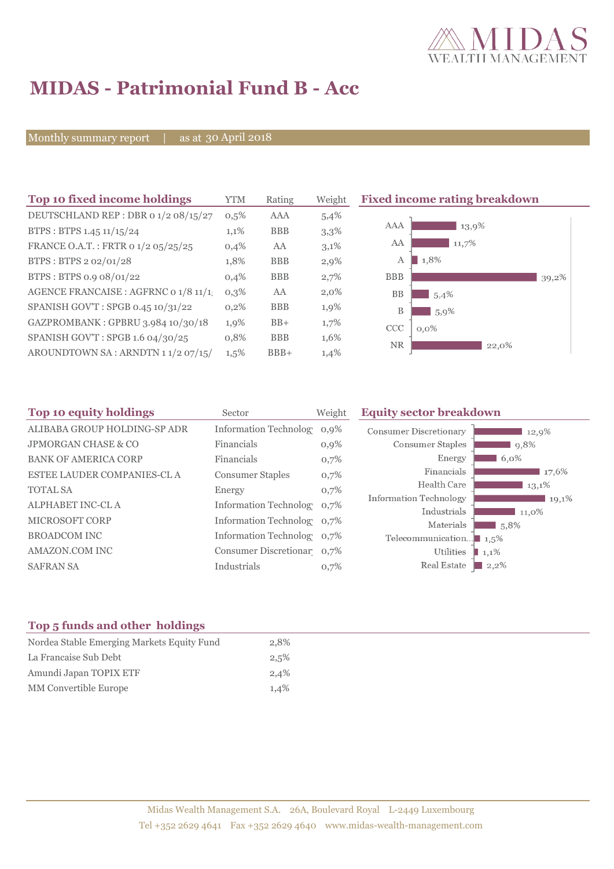

# **MIDAS - Patrimonial Fund B - Acc**

Monthly summary report | as at 30 April 2018

| Top 10 fixed income holdings         |         | Rating     | Weight  | <b>Fixed income rating breakdown</b> |  |  |
|--------------------------------------|---------|------------|---------|--------------------------------------|--|--|
| DEUTSCHLAND REP : DBR 0 1/2 08/15/27 | 0,5%    | <b>AAA</b> | 5,4%    |                                      |  |  |
| BTPS: BTPS 1.45 11/15/24             | $1,1\%$ | <b>BBB</b> | 3,3%    | AAA<br>13,9%                         |  |  |
| FRANCE O.A.T.: FRTR 0 1/2 05/25/25   | 0,4%    | AA         | 3,1%    | AA<br>11,7%                          |  |  |
| BTPS: BTPS 2 02/01/28                | 1,8%    | <b>BBB</b> | 2,9%    | 1,8%<br>A                            |  |  |
| BTPS: BTPS 0.9 08/01/22              | 0,4%    | <b>BBB</b> | 2,7%    | <b>BBB</b><br>39,2%                  |  |  |
| AGENCE FRANCAISE : AGFRNC 0 1/8 11/1 | $0,3\%$ | AA         | $2,0\%$ | <b>BB</b><br>5,4%                    |  |  |
| SPANISH GOV'T: SPGB 0.45 10/31/22    | $0,2\%$ | <b>BBB</b> | 1,9%    | B<br>5,9%                            |  |  |
| GAZPROMBANK: GPBRU 3.984 10/30/18    | $1,9\%$ | $BB+$      | 1,7%    | <b>CCC</b><br>$0,0\%$                |  |  |
| SPANISH GOV'T: SPGB 1.6 04/30/25     | 0,8%    | <b>BBB</b> | 1,6%    | <b>NR</b>                            |  |  |
| AROUNDTOWN SA: ARNDTN 11/2 07/15/    | $1,5\%$ | $BBB+$     | 1,4%    | 22,0%                                |  |  |
|                                      |         |            |         |                                      |  |  |

| Top 10 equity holdings         | Sector                     | Weight  | <b>Equity sector breakdown</b>        |                                 |
|--------------------------------|----------------------------|---------|---------------------------------------|---------------------------------|
| ALIBABA GROUP HOLDING-SP ADR   | Information Technolog      | 0,9%    | <b>Consumer Discretionary</b>         | 12,9%                           |
| <b>JPMORGAN CHASE &amp; CO</b> | Financials                 | $0,9\%$ | Consumer Staples                      | 9,8%                            |
| <b>BANK OF AMERICA CORP</b>    | Financials                 | 0,7%    | Energy                                | $6.0\%$                         |
| ESTEE LAUDER COMPANIES-CL A    | <b>Consumer Staples</b>    | 0,7%    | Financials                            | 17,6%                           |
| <b>TOTAL SA</b>                | Energy                     | 0,7%    | Health Care                           | 13,1%                           |
| ALPHABET INC-CL A              | Information Technolog 0,7% |         | Information Technology                | 19,1%                           |
| <b>MICROSOFT CORP</b>          | Information Technolog 0,7% |         | Industrials<br>Materials              | $11,0\%$<br>$\blacksquare$ 5.8% |
| <b>BROADCOM INC</b>            | Information Technolog 0.7% |         | Telecommunication $\blacksquare$ 1,5% |                                 |
| AMAZON.COM INC                 | Consumer Discretionar 0,7% |         | Utilities                             | $\blacksquare$ 1,1%             |
| <b>SAFRAN SA</b>               | Industrials                | 0,7%    | Real Estate                           | $2,2\%$                         |

### **Top 5 funds and other holdings**

| Nordea Stable Emerging Markets Equity Fund | 2,8% |
|--------------------------------------------|------|
| La Francaise Sub Debt                      | 2,5% |
| Amundi Japan TOPIX ETF                     | 2,4% |
| <b>MM</b> Convertible Europe               | 1.4% |